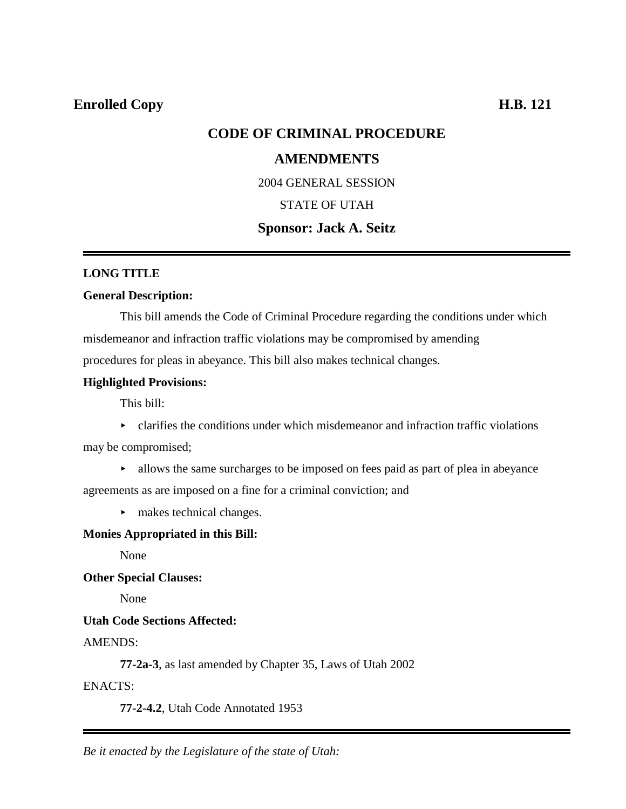# **Enrolled Copy H.B. 121**

# **CODE OF CRIMINAL PROCEDURE**

# **AMENDMENTS**

2004 GENERAL SESSION

### STATE OF UTAH

### **Sponsor: Jack A. Seitz**

#### **LONG TITLE**

#### **General Description:**

This bill amends the Code of Criminal Procedure regarding the conditions under which misdemeanor and infraction traffic violations may be compromised by amending

procedures for pleas in abeyance. This bill also makes technical changes.

#### **Highlighted Provisions:**

This bill:

 $\blacktriangleright$  clarifies the conditions under which misdemeanor and infraction traffic violations

may be compromised;

 $\blacktriangleright$  allows the same surcharges to be imposed on fees paid as part of plea in abeyance

agreements as are imposed on a fine for a criminal conviction; and

 $\blacktriangleright$  makes technical changes.

#### **Monies Appropriated in this Bill:**

None

#### **Other Special Clauses:**

None

#### **Utah Code Sections Affected:**

#### AMENDS:

**77-2a-3**, as last amended by Chapter 35, Laws of Utah 2002

#### ENACTS:

**77-2-4.2**, Utah Code Annotated 1953

*Be it enacted by the Legislature of the state of Utah:*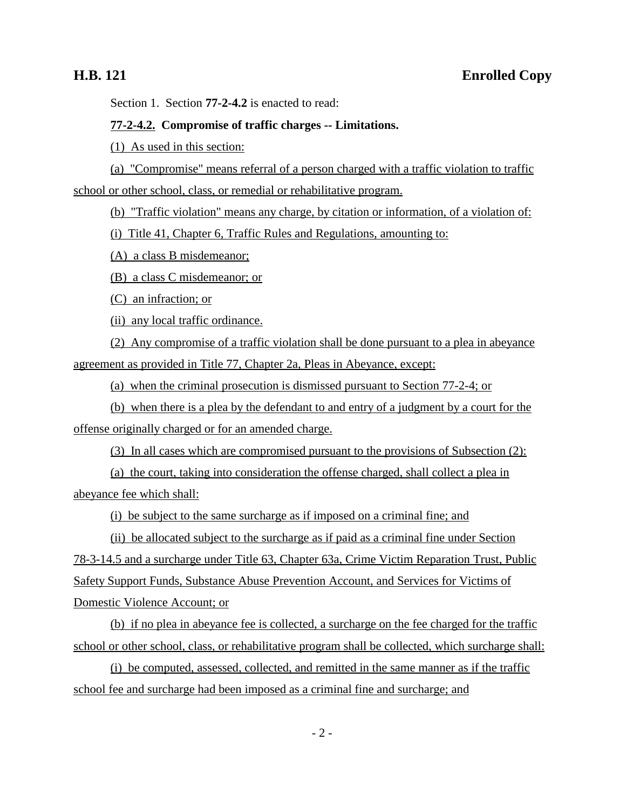Section 1. Section **77-2-4.2** is enacted to read:

#### **77-2-4.2. Compromise of traffic charges -- Limitations.**

(1) As used in this section:

# (a) "Compromise" means referral of a person charged with a traffic violation to traffic school or other school, class, or remedial or rehabilitative program.

(b) "Traffic violation" means any charge, by citation or information, of a violation of:

(i) Title 41, Chapter 6, Traffic Rules and Regulations, amounting to:

(A) a class B misdemeanor;

(B) a class C misdemeanor; or

(C) an infraction; or

(ii) any local traffic ordinance.

(2) Any compromise of a traffic violation shall be done pursuant to a plea in abeyance agreement as provided in Title 77, Chapter 2a, Pleas in Abeyance, except:

(a) when the criminal prosecution is dismissed pursuant to Section 77-2-4; or

(b) when there is a plea by the defendant to and entry of a judgment by a court for the offense originally charged or for an amended charge.

(3) In all cases which are compromised pursuant to the provisions of Subsection (2):

(a) the court, taking into consideration the offense charged, shall collect a plea in abeyance fee which shall:

(i) be subject to the same surcharge as if imposed on a criminal fine; and

(ii) be allocated subject to the surcharge as if paid as a criminal fine under Section 78-3-14.5 and a surcharge under Title 63, Chapter 63a, Crime Victim Reparation Trust, Public Safety Support Funds, Substance Abuse Prevention Account, and Services for Victims of Domestic Violence Account; or

(b) if no plea in abeyance fee is collected, a surcharge on the fee charged for the traffic school or other school, class, or rehabilitative program shall be collected, which surcharge shall:

(i) be computed, assessed, collected, and remitted in the same manner as if the traffic school fee and surcharge had been imposed as a criminal fine and surcharge; and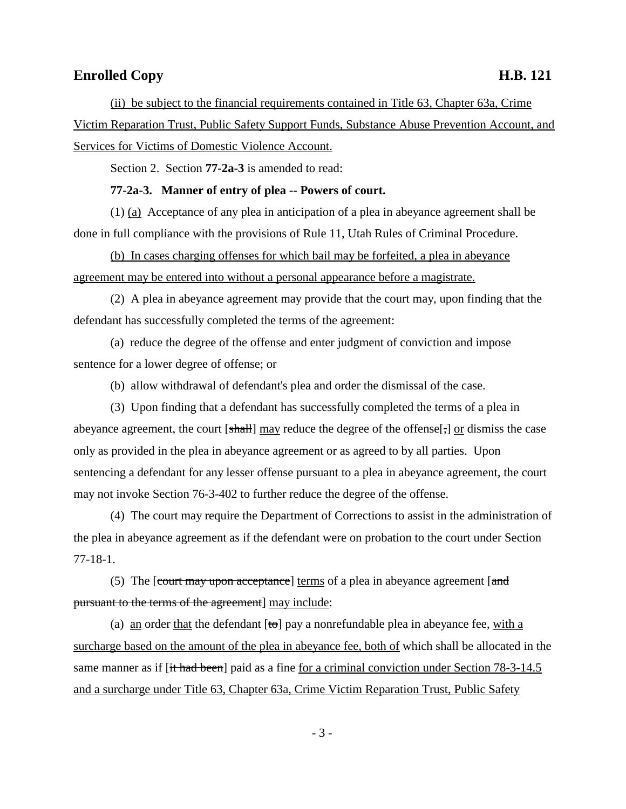# **Enrolled Copy H.B. 121**

(ii) be subject to the financial requirements contained in Title 63, Chapter 63a, Crime Victim Reparation Trust, Public Safety Support Funds, Substance Abuse Prevention Account, and Services for Victims of Domestic Violence Account.

Section 2. Section **77-2a-3** is amended to read:

#### **77-2a-3. Manner of entry of plea -- Powers of court.**

(1) (a) Acceptance of any plea in anticipation of a plea in abeyance agreement shall be done in full compliance with the provisions of Rule 11, Utah Rules of Criminal Procedure.

(b) In cases charging offenses for which bail may be forfeited, a plea in abeyance agreement may be entered into without a personal appearance before a magistrate.

(2) A plea in abeyance agreement may provide that the court may, upon finding that the defendant has successfully completed the terms of the agreement:

(a) reduce the degree of the offense and enter judgment of conviction and impose sentence for a lower degree of offense; or

(b) allow withdrawal of defendant's plea and order the dismissal of the case.

(3) Upon finding that a defendant has successfully completed the terms of a plea in abeyance agreement, the court [shall] may reduce the degree of the offense[;] or dismiss the case only as provided in the plea in abeyance agreement or as agreed to by all parties. Upon sentencing a defendant for any lesser offense pursuant to a plea in abeyance agreement, the court may not invoke Section 76-3-402 to further reduce the degree of the offense.

(4) The court may require the Department of Corrections to assist in the administration of the plea in abeyance agreement as if the defendant were on probation to the court under Section 77-18-1.

(5) The  $[count may upon acceptance]$  terms of a plea in abeyance agreement  $[and]$ pursuant to the terms of the agreement] may include:

(a) an order that the defendant  $[t\sigma]$  pay a nonrefundable plea in abeyance fee, with a surcharge based on the amount of the plea in abeyance fee, both of which shall be allocated in the same manner as if [it had been] paid as a fine for a criminal conviction under Section 78-3-14.5 and a surcharge under Title 63, Chapter 63a, Crime Victim Reparation Trust, Public Safety